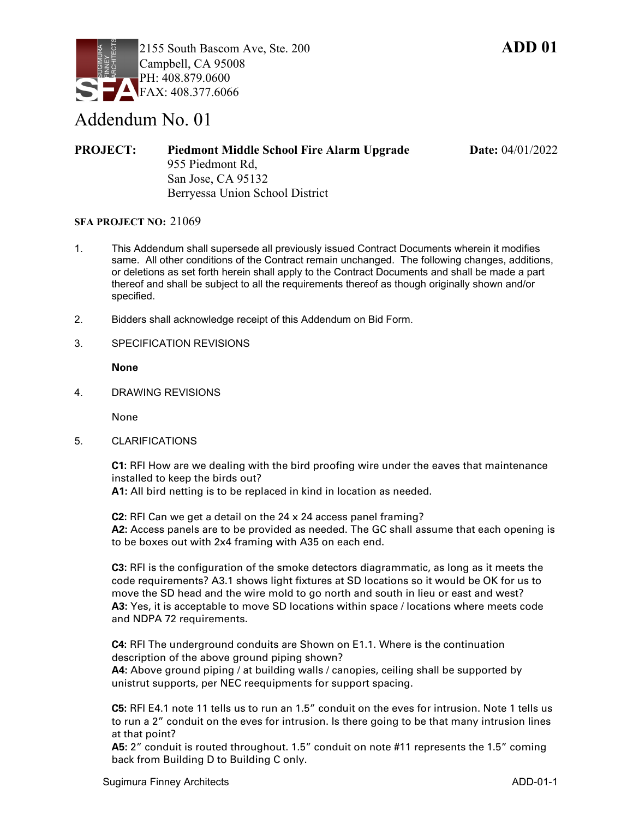

## Addendum No. 01

**PROJECT:** Piedmont Middle School Fire Alarm Upgrade Date: 04/01/2022 955 Piedmont Rd, San Jose, CA 95132 Berryessa Union School District

## **SFA PROJECT NO:** 21069

- 1. This Addendum shall supersede all previously issued Contract Documents wherein it modifies same. All other conditions of the Contract remain unchanged. The following changes, additions, or deletions as set forth herein shall apply to the Contract Documents and shall be made a part thereof and shall be subject to all the requirements thereof as though originally shown and/or specified.
- 2. Bidders shall acknowledge receipt of this Addendum on Bid Form.
- 3. SPECIFICATION REVISIONS

**None**

4. DRAWING REVISIONS

None

5. CLARIFICATIONS

**C1:** RFI How are we dealing with the bird proofing wire under the eaves that maintenance installed to keep the birds out?

**A1:** All bird netting is to be replaced in kind in location as needed.

**C2:** RFI Can we get a detail on the 24 x 24 access panel framing? **A2:** Access panels are to be provided as needed. The GC shall assume that each opening is to be boxes out with 2x4 framing with A35 on each end.

**C3:** RFI is the configuration of the smoke detectors diagrammatic, as long as it meets the code requirements? A3.1 shows light fixtures at SD locations so it would be OK for us to move the SD head and the wire mold to go north and south in lieu or east and west? **A3:** Yes, it is acceptable to move SD locations within space / locations where meets code and NDPA 72 requirements.

**C4:** RFI The underground conduits are Shown on E1.1. Where is the continuation description of the above ground piping shown?

**A4:** Above ground piping / at building walls / canopies, ceiling shall be supported by unistrut supports, per NEC reequipments for support spacing.

**C5:** RFI E4.1 note 11 tells us to run an 1.5" conduit on the eves for intrusion. Note 1 tells us to run a 2" conduit on the eves for intrusion. Is there going to be that many intrusion lines at that point?

**A5:** 2" conduit is routed throughout. 1.5" conduit on note #11 represents the 1.5" coming back from Building D to Building C only.